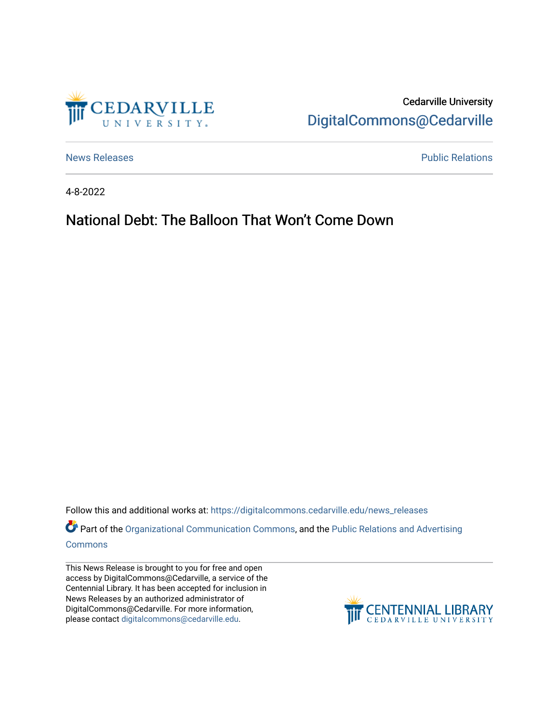

Cedarville University [DigitalCommons@Cedarville](https://digitalcommons.cedarville.edu/) 

[News Releases](https://digitalcommons.cedarville.edu/news_releases) **Public Relations Public Relations** 

4-8-2022

## National Debt: The Balloon That Won't Come Down

Follow this and additional works at: [https://digitalcommons.cedarville.edu/news\\_releases](https://digitalcommons.cedarville.edu/news_releases?utm_source=digitalcommons.cedarville.edu%2Fnews_releases%2F1530&utm_medium=PDF&utm_campaign=PDFCoverPages) 

Part of the [Organizational Communication Commons](http://network.bepress.com/hgg/discipline/335?utm_source=digitalcommons.cedarville.edu%2Fnews_releases%2F1530&utm_medium=PDF&utm_campaign=PDFCoverPages), and the Public Relations and Advertising [Commons](http://network.bepress.com/hgg/discipline/336?utm_source=digitalcommons.cedarville.edu%2Fnews_releases%2F1530&utm_medium=PDF&utm_campaign=PDFCoverPages)

This News Release is brought to you for free and open access by DigitalCommons@Cedarville, a service of the Centennial Library. It has been accepted for inclusion in News Releases by an authorized administrator of DigitalCommons@Cedarville. For more information, please contact [digitalcommons@cedarville.edu](mailto:digitalcommons@cedarville.edu).

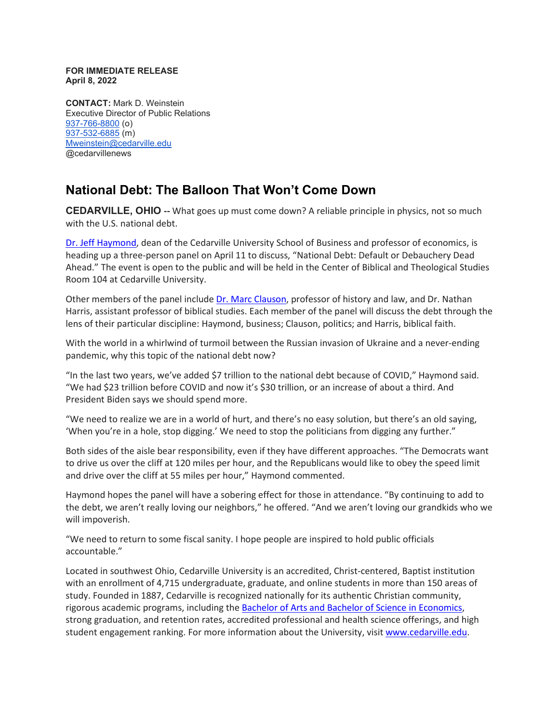## **FOR IMMEDIATE RELEASE April 8, 2022**

**CONTACT:** Mark D. Weinstein Executive Director of Public Relations [937-766-8800](tel:937-766-8800) (o) [937-532-6885](tel:937-532-6885) (m) [Mweinstein@cedarville.edu](mailto:Mweinstein@cedarville.edu) @cedarvillenews

## **National Debt: The Balloon That Won't Come Down**

**CEDARVILLE, OHIO --** What goes up must come down? A reliable principle in physics, not so much with the U.S. national debt.

[Dr. Jeff Haymond,](https://www.cedarville.edu/academic-schools-and-departments/business-administration/undergraduate/faculty/economics/haymond-jeffrey) dean of the Cedarville University School of Business and professor of economics, is heading up a three-person panel on April 11 to discuss, "National Debt: Default or Debauchery Dead Ahead." The event is open to the public and will be held in the Center of Biblical and Theological Studies Room 104 at Cedarville University.

Other members of the panel include [Dr. Marc Clauson,](https://www.cedarville.edu/academic-schools-and-departments/history-and-government/faculty-staff/clauson-marc) professor of history and law, and Dr. Nathan Harris, assistant professor of biblical studies. Each member of the panel will discuss the debt through the lens of their particular discipline: Haymond, business; Clauson, politics; and Harris, biblical faith.

With the world in a whirlwind of turmoil between the Russian invasion of Ukraine and a never-ending pandemic, why this topic of the national debt now?

"In the last two years, we've added \$7 trillion to the national debt because of COVID," Haymond said. "We had \$23 trillion before COVID and now it's \$30 trillion, or an increase of about a third. And President Biden says we should spend more.

"We need to realize we are in a world of hurt, and there's no easy solution, but there's an old saying, 'When you're in a hole, stop digging.' We need to stop the politicians from digging any further."

Both sides of the aisle bear responsibility, even if they have different approaches. "The Democrats want to drive us over the cliff at 120 miles per hour, and the Republicans would like to obey the speed limit and drive over the cliff at 55 miles per hour," Haymond commented.

Haymond hopes the panel will have a sobering effect for those in attendance. "By continuing to add to the debt, we aren't really loving our neighbors," he offered. "And we aren't loving our grandkids who we will impoverish.

"We need to return to some fiscal sanity. I hope people are inspired to hold public officials accountable."

Located in southwest Ohio, Cedarville University is an accredited, Christ-centered, Baptist institution with an enrollment of 4,715 undergraduate, graduate, and online students in more than 150 areas of study. Founded in 1887, Cedarville is recognized nationally for its authentic Christian community, rigorous academic programs, including the [Bachelor of Arts and Bachelor of Science in Economics,](https://www.cedarville.edu/academic-programs/economics) strong graduation, and retention rates, accredited professional and health science offerings, and high student engagement ranking. For more information about the University, visit [www.cedarville.edu.](http://www.cedarville.edu/)